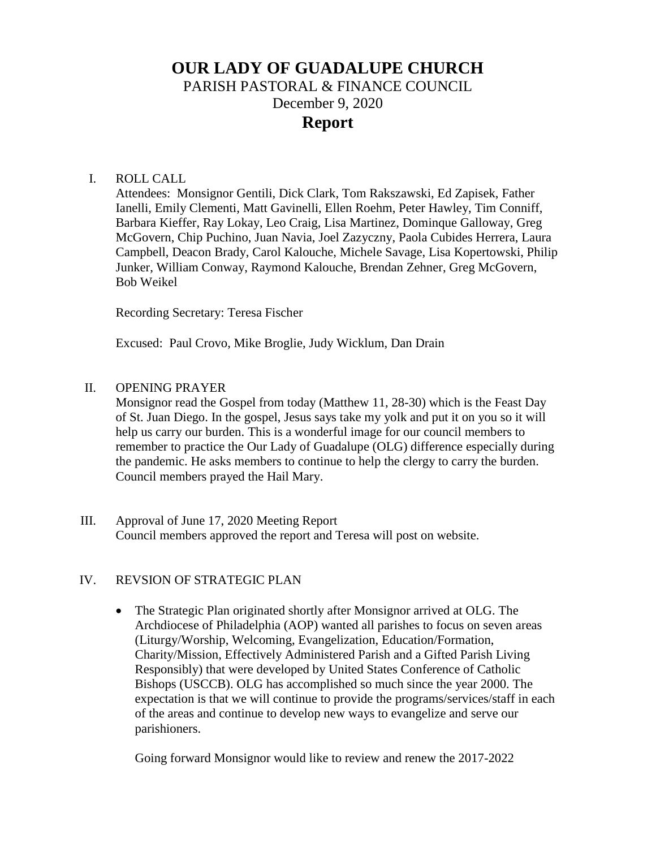# **OUR LADY OF GUADALUPE CHURCH**

PARISH PASTORAL & FINANCE COUNCIL

December 9, 2020

# **Report**

#### I. ROLL CALL

Attendees: Monsignor Gentili, Dick Clark, Tom Rakszawski, Ed Zapisek, Father Ianelli, Emily Clementi, Matt Gavinelli, Ellen Roehm, Peter Hawley, Tim Conniff, Barbara Kieffer, Ray Lokay, Leo Craig, Lisa Martinez, Dominque Galloway, Greg McGovern, Chip Puchino, Juan Navia, Joel Zazyczny, Paola Cubides Herrera, Laura Campbell, Deacon Brady, Carol Kalouche, Michele Savage, Lisa Kopertowski, Philip Junker, William Conway, Raymond Kalouche, Brendan Zehner, Greg McGovern, Bob Weikel

Recording Secretary: Teresa Fischer

Excused: Paul Crovo, Mike Broglie, Judy Wicklum, Dan Drain

#### II. OPENING PRAYER

Monsignor read the Gospel from today (Matthew 11, 28-30) which is the Feast Day of St. Juan Diego. In the gospel, Jesus says take my yolk and put it on you so it will help us carry our burden. This is a wonderful image for our council members to remember to practice the Our Lady of Guadalupe (OLG) difference especially during the pandemic. He asks members to continue to help the clergy to carry the burden. Council members prayed the Hail Mary.

III. Approval of June 17, 2020 Meeting Report Council members approved the report and Teresa will post on website.

### IV. REVSION OF STRATEGIC PLAN

 The Strategic Plan originated shortly after Monsignor arrived at OLG. The Archdiocese of Philadelphia (AOP) wanted all parishes to focus on seven areas (Liturgy/Worship, Welcoming, Evangelization, Education/Formation, Charity/Mission, Effectively Administered Parish and a Gifted Parish Living Responsibly) that were developed by United States Conference of Catholic Bishops (USCCB). OLG has accomplished so much since the year 2000. The expectation is that we will continue to provide the programs/services/staff in each of the areas and continue to develop new ways to evangelize and serve our parishioners.

Going forward Monsignor would like to review and renew the 2017-2022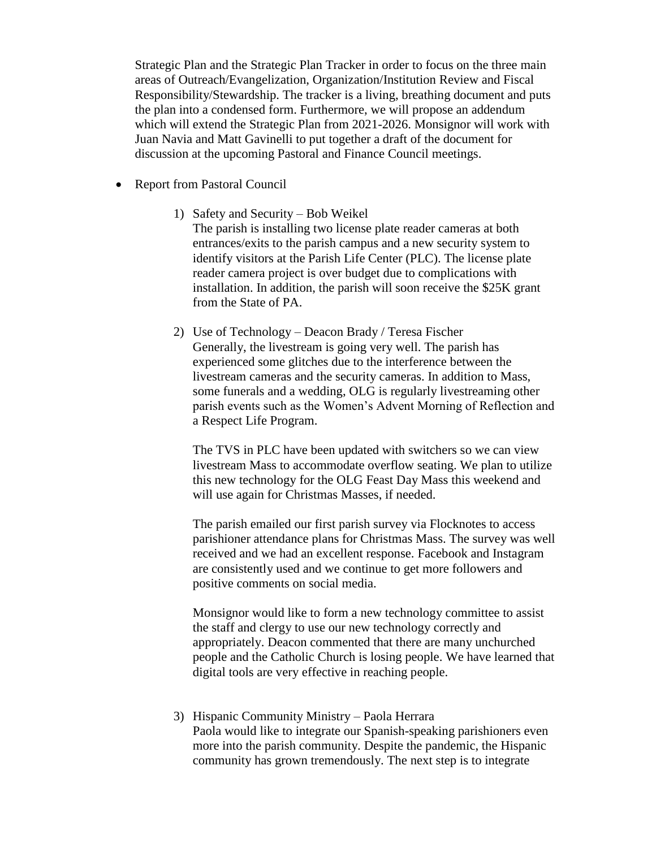Strategic Plan and the Strategic Plan Tracker in order to focus on the three main areas of Outreach/Evangelization, Organization/Institution Review and Fiscal Responsibility/Stewardship. The tracker is a living, breathing document and puts the plan into a condensed form. Furthermore, we will propose an addendum which will extend the Strategic Plan from 2021-2026. Monsignor will work with Juan Navia and Matt Gavinelli to put together a draft of the document for discussion at the upcoming Pastoral and Finance Council meetings.

- Report from Pastoral Council
	- 1) Safety and Security Bob Weikel

The parish is installing two license plate reader cameras at both entrances/exits to the parish campus and a new security system to identify visitors at the Parish Life Center (PLC). The license plate reader camera project is over budget due to complications with installation. In addition, the parish will soon receive the \$25K grant from the State of PA.

2) Use of Technology – Deacon Brady / Teresa Fischer Generally, the livestream is going very well. The parish has experienced some glitches due to the interference between the livestream cameras and the security cameras. In addition to Mass, some funerals and a wedding, OLG is regularly livestreaming other parish events such as the Women's Advent Morning of Reflection and a Respect Life Program.

The TVS in PLC have been updated with switchers so we can view livestream Mass to accommodate overflow seating. We plan to utilize this new technology for the OLG Feast Day Mass this weekend and will use again for Christmas Masses, if needed.

The parish emailed our first parish survey via Flocknotes to access parishioner attendance plans for Christmas Mass. The survey was well received and we had an excellent response. Facebook and Instagram are consistently used and we continue to get more followers and positive comments on social media.

Monsignor would like to form a new technology committee to assist the staff and clergy to use our new technology correctly and appropriately. Deacon commented that there are many unchurched people and the Catholic Church is losing people. We have learned that digital tools are very effective in reaching people.

3) Hispanic Community Ministry – Paola Herrara Paola would like to integrate our Spanish-speaking parishioners even more into the parish community. Despite the pandemic, the Hispanic community has grown tremendously. The next step is to integrate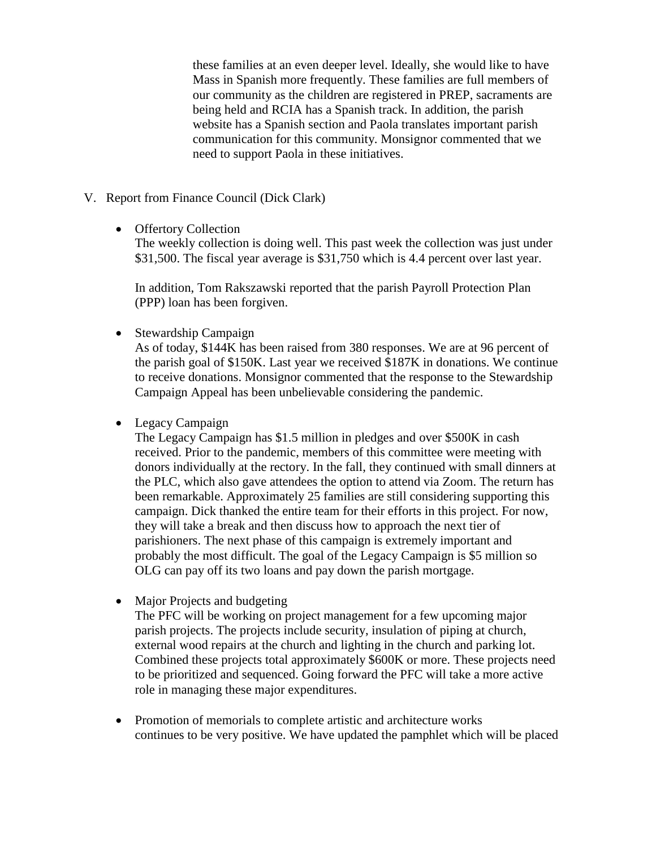these families at an even deeper level. Ideally, she would like to have Mass in Spanish more frequently. These families are full members of our community as the children are registered in PREP, sacraments are being held and RCIA has a Spanish track. In addition, the parish website has a Spanish section and Paola translates important parish communication for this community. Monsignor commented that we need to support Paola in these initiatives.

- V. Report from Finance Council (Dick Clark)
	- Offertory Collection

The weekly collection is doing well. This past week the collection was just under \$31,500. The fiscal year average is \$31,750 which is 4.4 percent over last year.

In addition, Tom Rakszawski reported that the parish Payroll Protection Plan (PPP) loan has been forgiven.

• Stewardship Campaign

As of today, \$144K has been raised from 380 responses. We are at 96 percent of the parish goal of \$150K. Last year we received \$187K in donations. We continue to receive donations. Monsignor commented that the response to the Stewardship Campaign Appeal has been unbelievable considering the pandemic.

• Legacy Campaign

The Legacy Campaign has \$1.5 million in pledges and over \$500K in cash received. Prior to the pandemic, members of this committee were meeting with donors individually at the rectory. In the fall, they continued with small dinners at the PLC, which also gave attendees the option to attend via Zoom. The return has been remarkable. Approximately 25 families are still considering supporting this campaign. Dick thanked the entire team for their efforts in this project. For now, they will take a break and then discuss how to approach the next tier of parishioners. The next phase of this campaign is extremely important and probably the most difficult. The goal of the Legacy Campaign is \$5 million so OLG can pay off its two loans and pay down the parish mortgage.

• Major Projects and budgeting

The PFC will be working on project management for a few upcoming major parish projects. The projects include security, insulation of piping at church, external wood repairs at the church and lighting in the church and parking lot. Combined these projects total approximately \$600K or more. These projects need to be prioritized and sequenced. Going forward the PFC will take a more active role in managing these major expenditures.

• Promotion of memorials to complete artistic and architecture works continues to be very positive. We have updated the pamphlet which will be placed